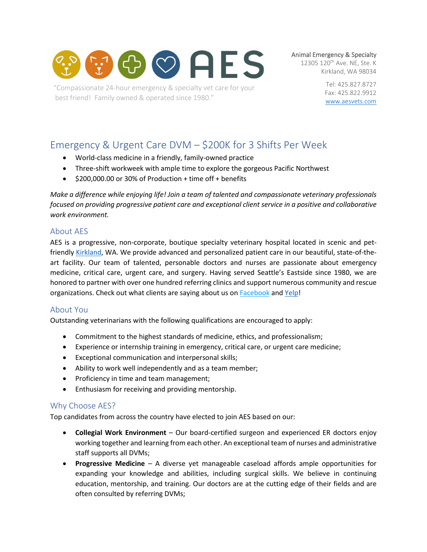

"Compassionate 24-hour emergency & specialty vet care for your best friend! Family owned & operated since 1980."

Animal Emergency & Specialty

12305 120th Ave. NE, Ste. K Kirkland, WA 98034

> Tel: 425.827.8727 Fax: 425.822.9912 [www.aesvets.com](https://d.docs.live.net/8f45e0968f0d7eca/Documents/AES/www.aesvets.com)

# Emergency & Urgent Care DVM – \$200K for 3 Shifts Per Week

- World-class medicine in a friendly, family-owned practice
- Three-shift workweek with ample time to explore the gorgeous Pacific Northwest
- \$200,000.00 or 30% of Production + time off + benefits

*Make a difference while enjoying life! Join a team of talented and compassionate veterinary professionals focused on providing progressive patient care and exceptional client service in a positive and collaborative work environment.*

## About AES

AES is a progressive, non-corporate, boutique specialty veterinary hospital located in scenic and pet-friendly [Kirkland,](https://youtu.be/IT5VCrRl4dY) WA. We provide advanced and personalized patient care in our beautiful, state-of-theart facility. Our team of talented, personable doctors and nurses are passionate about emergency medicine, critical care, urgent care, and surgery. Having served Seattle's Eastside since 1980, we are honored to partner with over one hundred referring clinics and support numerous community and rescue organizations. Check out what clients are saying about us on **[Facebook](https://www.facebook.com/AESVets/)** an[d Yelp!](https://www.yelp.com/biz/animal-emergency-and-specialty-kirkland)

## About You

Outstanding veterinarians with the following qualifications are encouraged to apply:

- Commitment to the highest standards of medicine, ethics, and professionalism;
- Experience or internship training in emergency, critical care, or urgent care medicine;
- Exceptional communication and interpersonal skills;
- Ability to work well independently and as a team member;
- Proficiency in time and team management;
- Enthusiasm for receiving and providing mentorship.

## Why Choose AES?

Top candidates from across the country have elected to join AES based on our:

- **Collegial Work Environment** Our board-certified surgeon and experienced ER doctors enjoy working together and learning from each other. An exceptional team of nurses and administrative staff supports all DVMs;
- **Progressive Medicine** A diverse yet manageable caseload affords ample opportunities for expanding your knowledge and abilities, including surgical skills. We believe in continuing education, mentorship, and training. Our doctors are at the cutting edge of their fields and are often consulted by referring DVMs;